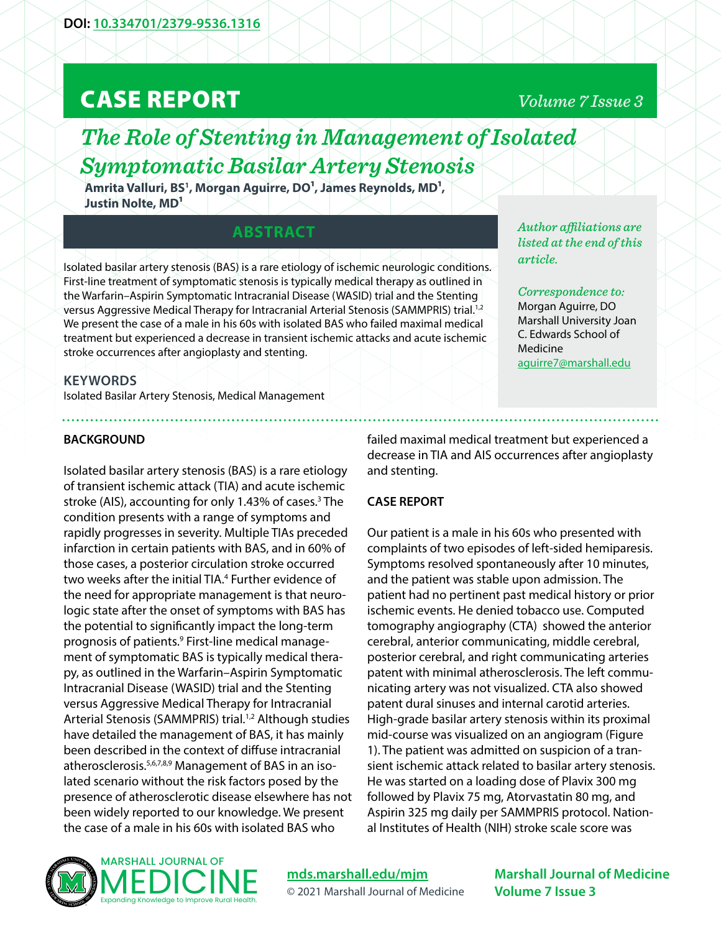# CASE REPORT

## *Volume 7 Issue 3*

*Author affiliations are listed at the end of this* 

*Correspondence to:*  Morgan Aguirre, DO Marshall University Joan C. Edwards School of

[aguirre7@marshall.edu](mailto:aguirre7%40marshall.edu?subject=)

*article.* 

Medicine

## *The Role of Stenting in Management of Isolated Symptomatic Basilar Artery Stenosis*

**Amrita Valluri, BS1 , Morgan Aguirre, DO1, James Reynolds, MD1,**  Justin Nolte, MD<sup>1</sup>

### **ABSTRACT**

Isolated basilar artery stenosis (BAS) is a rare etiology of ischemic neurologic conditions. First-line treatment of symptomatic stenosis is typically medical therapy as outlined in the Warfarin–Aspirin Symptomatic Intracranial Disease (WASID) trial and the Stenting versus Aggressive Medical Therapy for Intracranial Arterial Stenosis (SAMMPRIS) trial.1,2 We present the case of a male in his 60s with isolated BAS who failed maximal medical treatment but experienced a decrease in transient ischemic attacks and acute ischemic stroke occurrences after angioplasty and stenting.

#### **KEYWORDS**

Isolated Basilar Artery Stenosis, Medical Management

**BACKGROUND** 

Isolated basilar artery stenosis (BAS) is a rare etiology of transient ischemic attack (TIA) and acute ischemic stroke (AIS), accounting for only 1.43% of cases.<sup>3</sup> The condition presents with a range of symptoms and rapidly progresses in severity. Multiple TIAs preceded infarction in certain patients with BAS, and in 60% of those cases, a posterior circulation stroke occurred two weeks after the initial TIA.<sup>4</sup> Further evidence of the need for appropriate management is that neurologic state after the onset of symptoms with BAS has the potential to significantly impact the long-term prognosis of patients.<sup>9</sup> First-line medical management of symptomatic BAS is typically medical therapy, as outlined in the Warfarin–Aspirin Symptomatic Intracranial Disease (WASID) trial and the Stenting versus Aggressive Medical Therapy for Intracranial Arterial Stenosis (SAMMPRIS) trial.<sup>1,2</sup> Although studies have detailed the management of BAS, it has mainly been described in the context of diffuse intracranial atherosclerosis.5,6,7,8,9 Management of BAS in an isolated scenario without the risk factors posed by the presence of atherosclerotic disease elsewhere has not been widely reported to our knowledge. We present the case of a male in his 60s with isolated BAS who

failed maximal medical treatment but experienced a decrease in TIA and AIS occurrences after angioplasty and stenting.

#### **CASE REPORT**

Our patient is a male in his 60s who presented with complaints of two episodes of left-sided hemiparesis. Symptoms resolved spontaneously after 10 minutes, and the patient was stable upon admission. The patient had no pertinent past medical history or prior ischemic events. He denied tobacco use. Computed tomography angiography (CTA) showed the anterior cerebral, anterior communicating, middle cerebral, posterior cerebral, and right communicating arteries patent with minimal atherosclerosis. The left communicating artery was not visualized. CTA also showed patent dural sinuses and internal carotid arteries. High-grade basilar artery stenosis within its proximal mid-course was visualized on an angiogram (Figure 1). The patient was admitted on suspicion of a transient ischemic attack related to basilar artery stenosis. He was started on a loading dose of Plavix 300 mg followed by Plavix 75 mg, Atorvastatin 80 mg, and Aspirin 325 mg daily per SAMMPRIS protocol. National Institutes of Health (NIH) stroke scale score was



#### **MARSHALL JOURNAL OF** MEDICINE Expanding Knowledge to Improve Rural Health.

**[mds.marshall.edu/mjm](https://mds.marshall.edu/mjm/)** © 2021 Marshall Journal of Medicine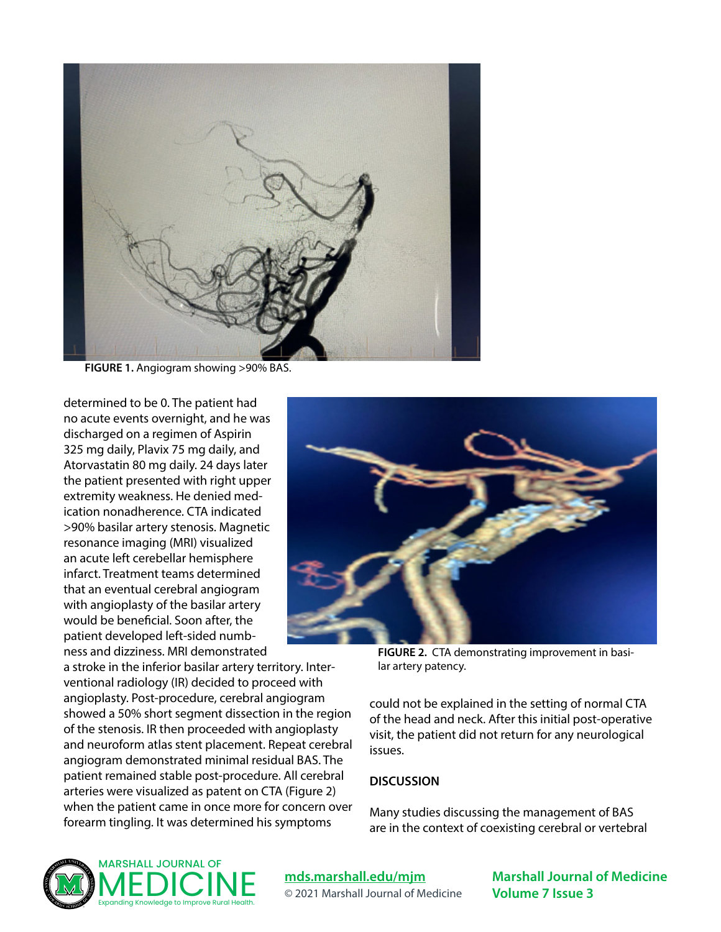

**FIGURE 1.** Angiogram showing >90% BAS.

determined to be 0. The patient had no acute events overnight, and he was discharged on a regimen of Aspirin 325 mg daily, Plavix 75 mg daily, and Atorvastatin 80 mg daily. 24 days later the patient presented with right upper extremity weakness. He denied medication nonadherence. CTA indicated >90% basilar artery stenosis. Magnetic resonance imaging (MRI) visualized an acute left cerebellar hemisphere infarct. Treatment teams determined that an eventual cerebral angiogram with angioplasty of the basilar artery would be beneficial. Soon after, the patient developed left-sided numbness and dizziness. MRI demonstrated

a stroke in the inferior basilar artery territory. Interventional radiology (IR) decided to proceed with angioplasty. Post-procedure, cerebral angiogram showed a 50% short segment dissection in the region of the stenosis. IR then proceeded with angioplasty and neuroform atlas stent placement. Repeat cerebral angiogram demonstrated minimal residual BAS. The patient remained stable post-procedure. All cerebral arteries were visualized as patent on CTA (Figure 2) when the patient came in once more for concern over forearm tingling. It was determined his symptoms



**FIGURE 2.** CTA demonstrating improvement in basilar artery patency.

could not be explained in the setting of normal CTA of the head and neck. After this initial post-operative visit, the patient did not return for any neurological issues.

#### **DISCUSSION**

Many studies discussing the management of BAS are in the context of coexisting cerebral or vertebral



#### **[mds.marshall.edu/mjm](https://mds.marshall.edu/mjm/)** © 2021 Marshall Journal of Medicine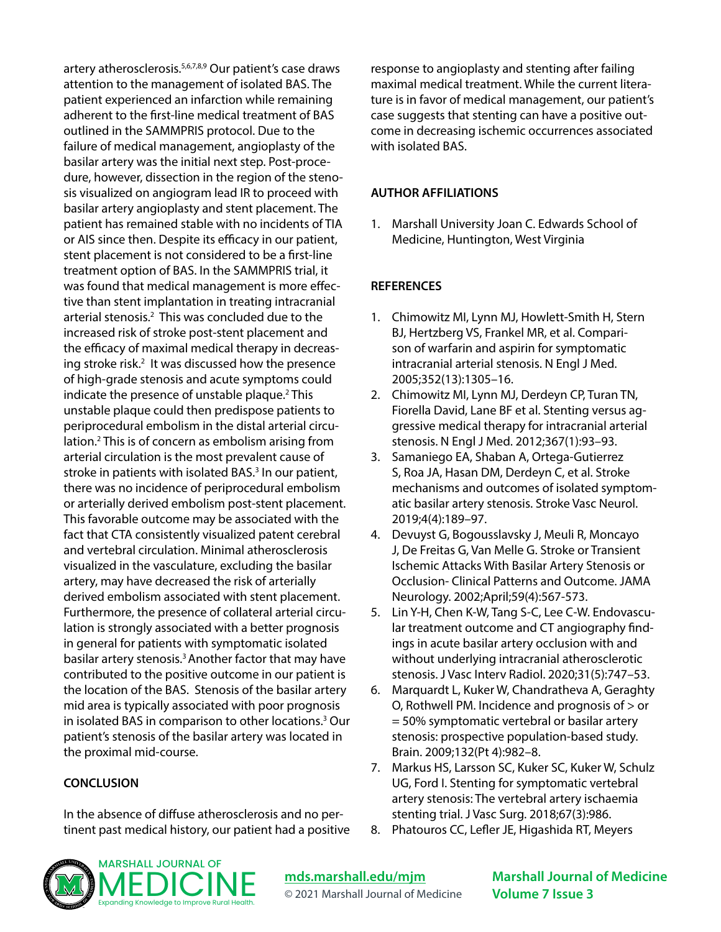artery atherosclerosis.5,6,7,8,9 Our patient's case draws attention to the management of isolated BAS. The patient experienced an infarction while remaining adherent to the first-line medical treatment of BAS outlined in the SAMMPRIS protocol. Due to the failure of medical management, angioplasty of the basilar artery was the initial next step. Post-procedure, however, dissection in the region of the stenosis visualized on angiogram lead IR to proceed with basilar artery angioplasty and stent placement. The patient has remained stable with no incidents of TIA or AIS since then. Despite its efficacy in our patient, stent placement is not considered to be a first-line treatment option of BAS. In the SAMMPRIS trial, it was found that medical management is more effective than stent implantation in treating intracranial arterial stenosis.<sup>2</sup> This was concluded due to the increased risk of stroke post-stent placement and the efficacy of maximal medical therapy in decreasing stroke risk.<sup>2</sup> It was discussed how the presence of high-grade stenosis and acute symptoms could indicate the presence of unstable plaque.<sup>2</sup> This unstable plaque could then predispose patients to periprocedural embolism in the distal arterial circulation.2 This is of concern as embolism arising from arterial circulation is the most prevalent cause of stroke in patients with isolated BAS.<sup>3</sup> In our patient, there was no incidence of periprocedural embolism or arterially derived embolism post-stent placement. This favorable outcome may be associated with the fact that CTA consistently visualized patent cerebral and vertebral circulation. Minimal atherosclerosis visualized in the vasculature, excluding the basilar artery, may have decreased the risk of arterially derived embolism associated with stent placement. Furthermore, the presence of collateral arterial circulation is strongly associated with a better prognosis in general for patients with symptomatic isolated basilar artery stenosis.<sup>3</sup> Another factor that may have contributed to the positive outcome in our patient is the location of the BAS. Stenosis of the basilar artery mid area is typically associated with poor prognosis in isolated BAS in comparison to other locations.3 Our patient's stenosis of the basilar artery was located in the proximal mid-course.

#### **CONCLUSION**

In the absence of diffuse atherosclerosis and no pertinent past medical history, our patient had a positive response to angioplasty and stenting after failing maximal medical treatment. While the current literature is in favor of medical management, our patient's case suggests that stenting can have a positive outcome in decreasing ischemic occurrences associated with isolated BAS.

#### **AUTHOR AFFILIATIONS**

1. Marshall University Joan C. Edwards School of Medicine, Huntington, West Virginia

#### **REFERENCES**

- 1. Chimowitz MI, Lynn MJ, Howlett-Smith H, Stern BJ, Hertzberg VS, Frankel MR, et al. Comparison of warfarin and aspirin for symptomatic intracranial arterial stenosis. N Engl J Med. 2005;352(13):1305–16.
- 2. Chimowitz MI, Lynn MJ, Derdeyn CP, Turan TN, Fiorella David, Lane BF et al. Stenting versus aggressive medical therapy for intracranial arterial stenosis. N Engl J Med. 2012;367(1):93–93.
- 3. Samaniego EA, Shaban A, Ortega-Gutierrez S, Roa JA, Hasan DM, Derdeyn C, et al. Stroke mechanisms and outcomes of isolated symptomatic basilar artery stenosis. Stroke Vasc Neurol. 2019;4(4):189–97.
- 4. Devuyst G, Bogousslavsky J, Meuli R, Moncayo J, De Freitas G, Van Melle G. Stroke or Transient Ischemic Attacks With Basilar Artery Stenosis or Occlusion- Clinical Patterns and Outcome. JAMA Neurology. 2002;April;59(4):567-573.
- 5. Lin Y-H, Chen K-W, Tang S-C, Lee C-W. Endovascular treatment outcome and CT angiography findings in acute basilar artery occlusion with and without underlying intracranial atherosclerotic stenosis. J Vasc Interv Radiol. 2020;31(5):747–53.
- 6. Marquardt L, Kuker W, Chandratheva A, Geraghty O, Rothwell PM. Incidence and prognosis of > or = 50% symptomatic vertebral or basilar artery stenosis: prospective population-based study. Brain. 2009;132(Pt 4):982–8.
- 7. Markus HS, Larsson SC, Kuker SC, Kuker W, Schulz UG, Ford I. Stenting for symptomatic vertebral artery stenosis: The vertebral artery ischaemia stenting trial. J Vasc Surg. 2018;67(3):986.
- 8. Phatouros CC, Lefler JE, Higashida RT, Meyers



**[mds.marshall.edu/mjm](https://mds.marshall.edu/mjm/)** © 2021 Marshall Journal of Medicine